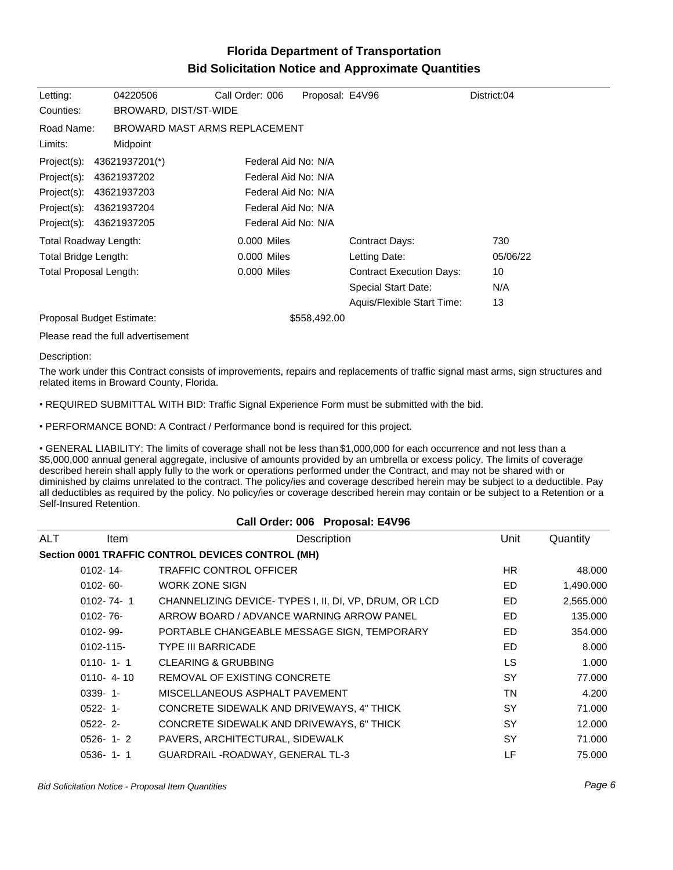## **Florida Department of Transportation Bid Solicitation Notice and Approximate Quantities**

| Letting:               | 04220506                      | Call Order: 006     | Proposal: E4V96 |                                 | District:04 |
|------------------------|-------------------------------|---------------------|-----------------|---------------------------------|-------------|
| Counties:              | BROWARD, DIST/ST-WIDE         |                     |                 |                                 |             |
| Road Name:             | BROWARD MAST ARMS REPLACEMENT |                     |                 |                                 |             |
| Limits:                | Midpoint                      |                     |                 |                                 |             |
| Project(s):            | 43621937201(*)                | Federal Aid No: N/A |                 |                                 |             |
| Project(s):            | 43621937202                   | Federal Aid No: N/A |                 |                                 |             |
| Project(s):            | 43621937203                   | Federal Aid No: N/A |                 |                                 |             |
| Project(s):            | 43621937204                   | Federal Aid No: N/A |                 |                                 |             |
| Project(s):            | 43621937205                   | Federal Aid No: N/A |                 |                                 |             |
| Total Roadway Length:  |                               | 0.000 Miles         |                 | Contract Days:                  | 730         |
| Total Bridge Length:   |                               | 0.000 Miles         |                 | Letting Date:                   | 05/06/22    |
| Total Proposal Length: |                               | 0.000 Miles         |                 | <b>Contract Execution Days:</b> | 10          |
|                        |                               |                     |                 | Special Start Date:             | N/A         |
|                        |                               |                     |                 | Aquis/Flexible Start Time:      | 13          |
|                        | Proposal Budget Estimate:     |                     | \$558,492.00    |                                 |             |

Please read the full advertisement

## Description:

The work under this Contract consists of improvements, repairs and replacements of traffic signal mast arms, sign structures and related items in Broward County, Florida.

REQUIRED SUBMITTAL WITH BID: Traffic Signal Experience Form must be submitted with the bid.

PERFORMANCE BOND: A Contract / Performance bond is required for this project.

GENERAL LIABILITY: The limits of coverage shall not be less than \$1,000,000 for each occurrence and not less than a \$5,000,000 annual general aggregate, inclusive of amounts provided by an umbrella or excess policy. The limits of coverage described herein shall apply fully to the work or operations performed under the Contract, and may not be shared with or diminished by claims unrelated to the contract. The policy/ies and coverage described herein may be subject to a deductible. Pay all deductibles as required by the policy. No policy/ies or coverage described herein may contain or be subject to a Retention or a Self-Insured Retention.

| Call Order: 006 Proposal: E4V96 |                 |                                                       |           |           |  |  |  |
|---------------------------------|-----------------|-------------------------------------------------------|-----------|-----------|--|--|--|
| ALT                             | ltem            | Description                                           | Unit      | Quantity  |  |  |  |
|                                 |                 | Section 0001 TRAFFIC CONTROL DEVICES CONTROL (MH)     |           |           |  |  |  |
|                                 | $0102 - 14$     | <b>TRAFFIC CONTROL OFFICER</b>                        | HR.       | 48.000    |  |  |  |
|                                 | $0102 - 60 -$   | <b>WORK ZONE SIGN</b>                                 | ED        | 1,490.000 |  |  |  |
|                                 | $0102 - 74 - 1$ | CHANNELIZING DEVICE-TYPES I, II, DI, VP, DRUM, OR LCD | ED        | 2,565.000 |  |  |  |
|                                 | $0102 - 76 -$   | ARROW BOARD / ADVANCE WARNING ARROW PANEL             | ED.       | 135.000   |  |  |  |
|                                 | $0102 - 99 -$   | PORTABLE CHANGEABLE MESSAGE SIGN, TEMPORARY           | ED        | 354.000   |  |  |  |
|                                 | $0102 - 115 -$  | <b>TYPE III BARRICADE</b>                             | ED        | 8.000     |  |  |  |
|                                 | $0110 - 1 - 1$  | <b>CLEARING &amp; GRUBBING</b>                        | <b>LS</b> | 1.000     |  |  |  |
|                                 | $0110 - 4 - 10$ | REMOVAL OF EXISTING CONCRETE                          | <b>SY</b> | 77.000    |  |  |  |
|                                 | $0339 - 1$ -    | MISCELLANEOUS ASPHALT PAVEMENT                        | <b>TN</b> | 4.200     |  |  |  |
|                                 | $0522 - 1$ -    | CONCRETE SIDEWALK AND DRIVEWAYS, 4" THICK             | <b>SY</b> | 71.000    |  |  |  |
|                                 | $0522 - 2$      | CONCRETE SIDEWALK AND DRIVEWAYS, 6" THICK             | <b>SY</b> | 12.000    |  |  |  |
|                                 | $0526 - 1 - 2$  | PAVERS, ARCHITECTURAL, SIDEWALK                       | <b>SY</b> | 71.000    |  |  |  |
|                                 | $0536 - 1 - 1$  | GUARDRAIL - ROADWAY, GENERAL TL-3                     | LF        | 75.000    |  |  |  |